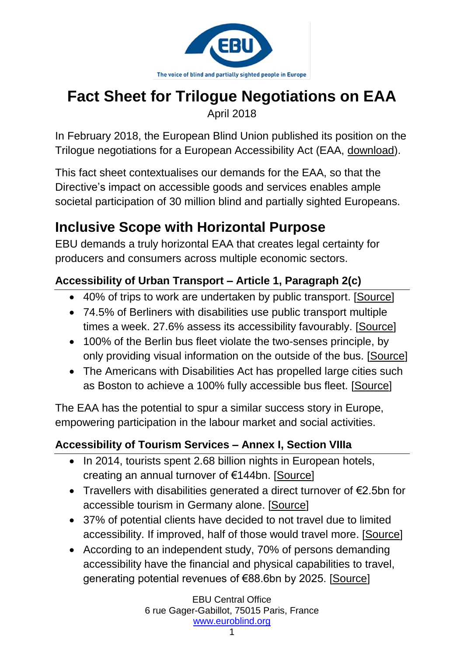

# **Fact Sheet for Trilogue Negotiations on EAA**

April 2018

In February 2018, the European Blind Union published its position on the Trilogue negotiations for a European Accessibility Act (EAA, [download\)](http://www.euroblind.org/sites/default/files/documents/ebu_position_on_the_eaa_trilogue_negotiations.pdf).

This fact sheet contextualises our demands for the EAA, so that the Directive's impact on accessible goods and services enables ample societal participation of 30 million blind and partially sighted Europeans.

# **Inclusive Scope with Horizontal Purpose**

EBU demands a truly horizontal EAA that creates legal certainty for producers and consumers across multiple economic sectors.

### **Accessibility of Urban Transport – Article 1, Paragraph 2(c)**

- 40% of trips to work are undertaken by public transport. [\[Source\]](https://www.berlin.de/senuvk/verkehr/politik_planung/zahlen_fakten/download/SrV_2013_Berlin_Steckbrief.pdf)
- 74.5% of Berliners with disabilities use public transport multiple times a week. 27.6% assess its accessibility favourably. [\[Source\]](https://is.gd/TGGLvn)
- 100% of the Berlin bus fleet violate the two-senses principle, by only providing visual information on the outside of the bus. [\[Source\]](https://is.gd/TGGLvn)
- The Americans with Disabilities Act has propelled large cities such as Boston to achieve a 100% fully accessible bus fleet. [\[Source\]](https://is.gd/nrTDug)

The EAA has the potential to spur a similar success story in Europe, empowering participation in the labour market and social activities.

### **Accessibility of Tourism Services – Annex I, Section VIIIa**

- In 2014, tourists spent 2.68 billion nights in European hotels, creating an annual turnover of €144bn. [\[Source\]](https://is.gd/manLHk)
- Travellers with disabilities generated a direct turnover of €2.5bn for accessible tourism in Germany alone. [\[Source\]](https://is.gd/E7x3Pa)
- 37% of potential clients have decided to not travel due to limited accessibility. If improved, half of those would travel more. [\[Source\]](https://is.gd/E7x3Pa)
- According to an independent study, 70% of persons demanding accessibility have the financial and physical capabilities to travel, generating potential revenues of €88.6bn by 2025. [\[Source\]](https://is.gd/kygyHA)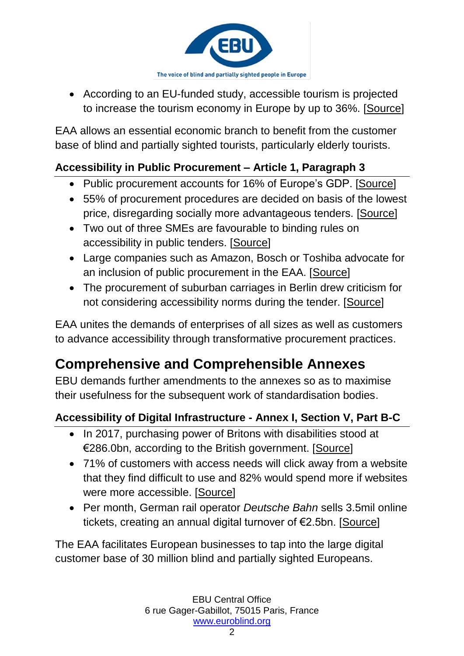

 According to an EU-funded study, accessible tourism is projected to increase the tourism economy in Europe by up to 36%. [\[Source\]](https://is.gd/96vRKE)

EAA allows an essential economic branch to benefit from the customer base of blind and partially sighted tourists, particularly elderly tourists.

#### **Accessibility in Public Procurement – Article 1, Paragraph 3**

- Public procurement accounts for 16% of Europe's GDP. [\[Source\]](https://is.gd/DNYruE)
- 55% of procurement procedures are decided on basis of the lowest price, disregarding socially more advantageous tenders. [\[Source\]](http://ec.europa.eu/DocsRoom/documents/25984)
- Two out of three SMEs are favourable to binding rules on accessibility in public tenders. [\[Source\]](https://is.gd/O1CPem)
- Large companies such as Amazon, Bosch or Toshiba advocate for an inclusion of public procurement in the EAA. [\[Source\]](https://is.gd/5NxNV5)
- The procurement of suburban carriages in Berlin drew criticism for not considering accessibility norms during the tender. [\[Source\]](https://is.gd/TGGLvn)

EAA unites the demands of enterprises of all sizes as well as customers to advance accessibility through transformative procurement practices.

## **Comprehensive and Comprehensible Annexes**

EBU demands further amendments to the annexes so as to maximise their usefulness for the subsequent work of standardisation bodies.

#### **Accessibility of Digital Infrastructure - Annex I, Section V, Part B-C**

- In 2017, purchasing power of Britons with disabilities stood at €286.0bn, according to the British government. [\[Source\]](https://is.gd/L26goK)
- 71% of customers with access needs will click away from a website that they find difficult to use and 82% would spend more if websites were more accessible. [\[Source\]](https://is.gd/sSrUVv)
- Per month, German rail operator *Deutsche Bahn* sells 3.5mil online tickets, creating an annual digital turnover of €2.5bn. [\[Source\]](https://is.gd/DpihNm)

The EAA facilitates European businesses to tap into the large digital customer base of 30 million blind and partially sighted Europeans.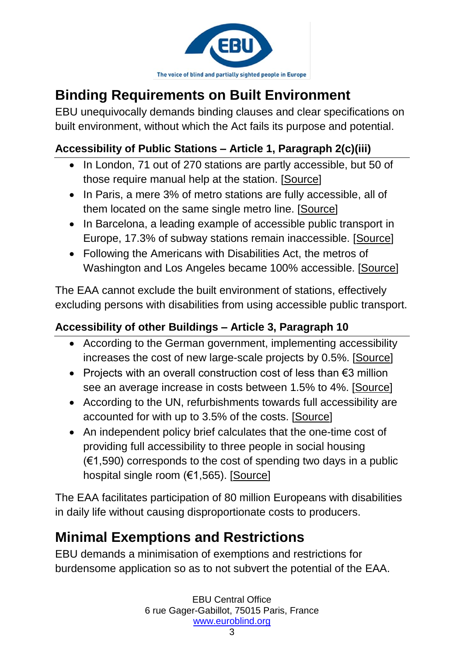

# **Binding Requirements on Built Environment**

EBU unequivocally demands binding clauses and clear specifications on built environment, without which the Act fails its purpose and potential.

#### **Accessibility of Public Stations – Article 1, Paragraph 2(c)(iii)**

- In London, 71 out of 270 stations are partly accessible, but 50 of those require manual help at the station. [\[Source\]](https://is.gd/yIGarb)
- In Paris, a mere 3% of metro stations are fully accessible, all of them located on the same single metro line. [\[Source\]](https://is.gd/yIGarb)
- In Barcelona, a leading example of accessible public transport in Europe, 17.3% of subway stations remain inaccessible. [\[Source\]](https://is.gd/yIGarb)
- Following the Americans with Disabilities Act, the metros of Washington and Los Angeles became 100% accessible. [\[Source\]](https://is.gd/yIGarb)

The EAA cannot exclude the built environment of stations, effectively excluding persons with disabilities from using accessible public transport.

#### **Accessibility of other Buildings – Article 3, Paragraph 10**

- According to the German government, implementing accessibility increases the cost of new large-scale projects by 0.5%. [\[Source\]](https://is.gd/4kDywt)
- Projects with an overall construction cost of less than €3 million see an average increase in costs between 1.5% to 4%. [\[Source\]](https://is.gd/4kDywt)
- According to the UN, refurbishments towards full accessibility are accounted for with up to 3.5% of the costs. [\[Source\]](https://is.gd/XZNqpA)
- An independent policy brief calculates that the one-time cost of providing full accessibility to three people in social housing  $(€1,590)$  corresponds to the cost of spending two days in a public hospital single room (€1,565). [\[Source\]](https://is.gd/fWdpGW)

The EAA facilitates participation of 80 million Europeans with disabilities in daily life without causing disproportionate costs to producers.

### **Minimal Exemptions and Restrictions**

EBU demands a minimisation of exemptions and restrictions for burdensome application so as to not subvert the potential of the EAA.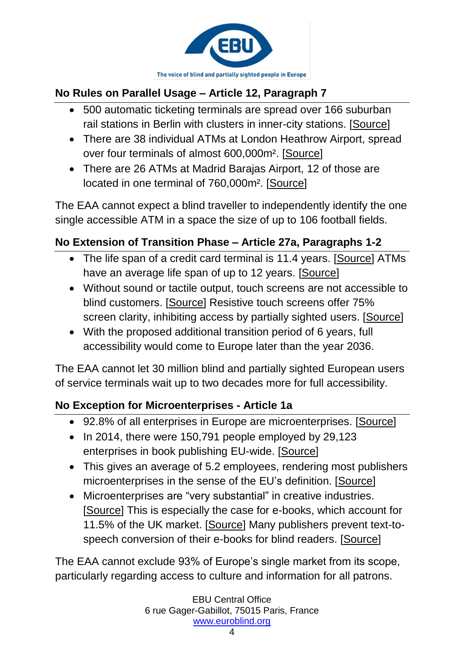

#### **No Rules on Parallel Usage – Article 12, Paragraph 7**

- 500 automatic ticketing terminals are spread over 166 suburban rail stations in Berlin with clusters in inner-city stations. [\[Source\]](https://is.gd/hAdaJI)
- There are 38 individual ATMs at London Heathrow Airport, spread over four terminals of almost 600,000m². [\[Source\]](https://is.gd/mKQj3R)
- There are 26 ATMs at Madrid Barajas Airport, 12 of those are located in one terminal of 760,000m². [\[Source\]](https://is.gd/9414IY)

The EAA cannot expect a blind traveller to independently identify the one single accessible ATM in a space the size of up to 106 football fields.

#### **No Extension of Transition Phase – Article 27a, Paragraphs 1-2**

- The life span of a credit card terminal is 11.4 years. [\[Source\]](https://is.gd/14oBut) ATMs have an average life span of up to 12 years. [\[Source\]](https://is.gd/aydyIV)
- Without sound or tactile output, touch screens are not accessible to blind customers. [\[Source\]](http://scholarworks.csun.edu/bitstream/handle/10211.3/180119/ID-24-Jokisuu-JTPD-2016.pdf?sequence=1) Resistive touch screens offer 75% screen clarity, inhibiting access by partially sighted users. [\[Source\]](https://www.washington.edu/accessit/print.html?ID=1172)
- With the proposed additional transition period of 6 years, full accessibility would come to Europe later than the year 2036.

The EAA cannot let 30 million blind and partially sighted European users of service terminals wait up to two decades more for full accessibility.

#### **No Exception for Microenterprises - Article 1a**

- 92.8% of all enterprises in Europe are microenterprises. [\[Source\]](https://is.gd/hf14Tg)
- $\bullet$  In 2014, there were 150,791 people employed by 29,123 enterprises in book publishing EU-wide. [\[Source\]](https://bit.ly/2GO0Pq5)
- This gives an average of 5.2 employees, rendering most publishers microenterprises in the sense of the EU's definition. [\[Source\]](https://is.gd/3OPurb)
- Microenterprises are "very substantial" in creative industries. [\[Source\]](https://is.gd/MNq1KQ) This is especially the case for e-books, which account for 11.5% of the UK market. [\[Source\]](https://bit.ly/2GO0Pq5) Many publishers prevent text-tospeech conversion of their e-books for blind readers. [\[Source\]](http://www.rnib.org.uk/information-everyday-living-reading-ebooks-and-digital/text-speech-ebooks)

The EAA cannot exclude 93% of Europe's single market from its scope, particularly regarding access to culture and information for all patrons.